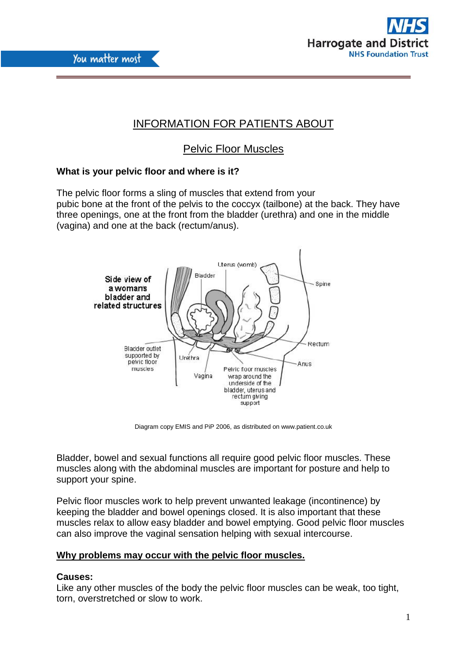



# INFORMATION FOR PATIENTS ABOUT

# Pelvic Floor Muscles

# **What is your pelvic floor and where is it?**

The pelvic floor forms a sling of muscles that extend from your pubic bone at the front of the pelvis to the coccyx (tailbone) at the back. They have three openings, one at the front from the bladder (urethra) and one in the middle (vagina) and one at the back (rectum/anus).



Diagram copy EMIS and PiP 2006, as distributed on www.patient.co.uk

Bladder, bowel and sexual functions all require good pelvic floor muscles. These muscles along with the abdominal muscles are important for posture and help to support your spine.

Pelvic floor muscles work to help prevent unwanted leakage (incontinence) by keeping the bladder and bowel openings closed. It is also important that these muscles relax to allow easy bladder and bowel emptying. Good pelvic floor muscles can also improve the vaginal sensation helping with sexual intercourse.

# **Why problems may occur with the pelvic floor muscles.**

# **Causes:**

Like any other muscles of the body the pelvic floor muscles can be weak, too tight, torn, overstretched or slow to work.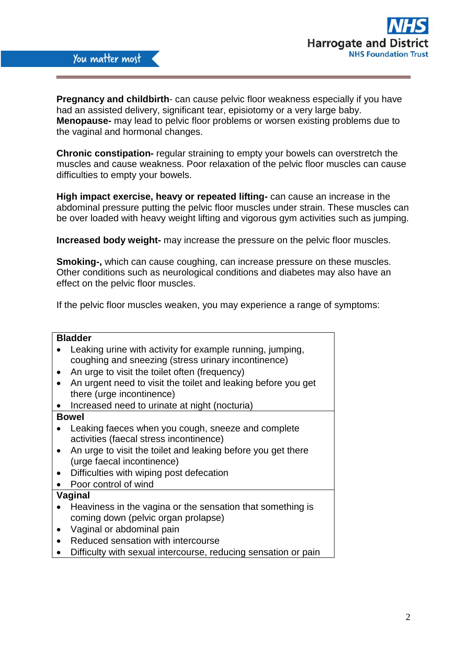

**Pregnancy and childbirth**- can cause pelvic floor weakness especially if you have had an assisted delivery, significant tear, episiotomy or a very large baby. **Menopause-** may lead to pelvic floor problems or worsen existing problems due to the vaginal and hormonal changes.

**Chronic constipation-** regular straining to empty your bowels can overstretch the muscles and cause weakness. Poor relaxation of the pelvic floor muscles can cause difficulties to empty your bowels.

**High impact exercise, heavy or repeated lifting-** can cause an increase in the abdominal pressure putting the pelvic floor muscles under strain. These muscles can be over loaded with heavy weight lifting and vigorous gym activities such as jumping.

**Increased body weight-** may increase the pressure on the pelvic floor muscles.

**Smoking-,** which can cause coughing, can increase pressure on these muscles. Other conditions such as neurological conditions and diabetes may also have an effect on the pelvic floor muscles.

If the pelvic floor muscles weaken, you may experience a range of symptoms:

#### **Bladder**

- Leaking urine with activity for example running, jumping, coughing and sneezing (stress urinary incontinence)
- An urge to visit the toilet often (frequency)
- An urgent need to visit the toilet and leaking before you get there (urge incontinence)
- Increased need to urinate at night (nocturia)

#### **Bowel**

- Leaking faeces when you cough, sneeze and complete activities (faecal stress incontinence)
- An urge to visit the toilet and leaking before you get there (urge faecal incontinence)
- Difficulties with wiping post defecation
- Poor control of wind

#### **Vaginal**

- Heaviness in the vagina or the sensation that something is coming down (pelvic organ prolapse)
- Vaginal or abdominal pain
- Reduced sensation with intercourse
- Difficulty with sexual intercourse, reducing sensation or pain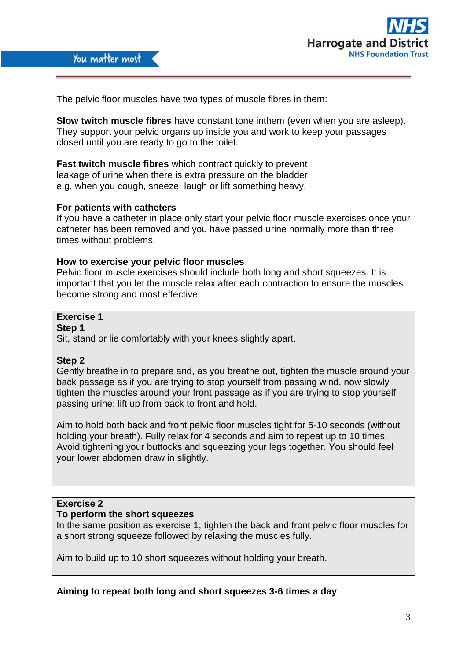

The pelvic floor muscles have two types of muscle fibres in them:

**Slow twitch muscle fibres** have constant tone inthem (even when you are asleep). They support your pelvic organs up inside you and work to keep your passages closed until you are ready to go to the toilet.

**Fast twitch muscle fibres** which contract quickly to prevent leakage of urine when there is extra pressure on the bladder e.g. when you cough, sneeze, laugh or lift something heavy.

## **For patients with catheters**

If you have a catheter in place only start your pelvic floor muscle exercises once your catheter has been removed and you have passed urine normally more than three times without problems.

# **How to exercise your pelvic floor muscles**

Pelvic floor muscle exercises should include both long and short squeezes. It is important that you let the muscle relax after each contraction to ensure the muscles become strong and most effective.

# **Exercise 1**

**Step 1**

Sit, stand or lie comfortably with your knees slightly apart.

#### **Step 2**

Gently breathe in to prepare and, as you breathe out, tighten the muscle around your back passage as if you are trying to stop yourself from passing wind, now slowly tighten the muscles around your front passage as if you are trying to stop yourself passing urine; lift up from back to front and hold.

Aim to hold both back and front pelvic floor muscles tight for 5-10 seconds (without holding your breath). Fully relax for 4 seconds and aim to repeat up to 10 times. Avoid tightening your buttocks and squeezing your legs together. You should feel your lower abdomen draw in slightly.

## **Exercise 2**

#### **To perform the short squeezes**

In the same position as exercise 1, tighten the back and front pelvic floor muscles for a short strong squeeze followed by relaxing the muscles fully.

Aim to build up to 10 short squeezes without holding your breath.

# **Aiming to repeat both long and short squeezes 3-6 times a day**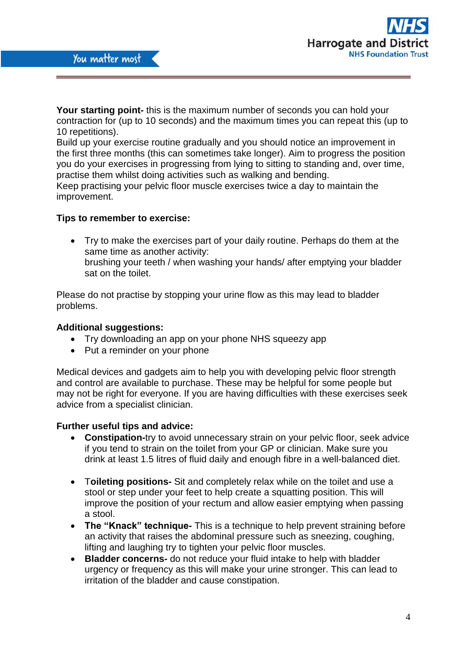

**Your starting point-** this is the maximum number of seconds you can hold your contraction for (up to 10 seconds) and the maximum times you can repeat this (up to 10 repetitions).

Build up your exercise routine gradually and you should notice an improvement in the first three months (this can sometimes take longer). Aim to progress the position you do your exercises in progressing from lying to sitting to standing and, over time, practise them whilst doing activities such as walking and bending.

Keep practising your pelvic floor muscle exercises twice a day to maintain the improvement.

## **Tips to remember to exercise:**

 Try to make the exercises part of your daily routine. Perhaps do them at the same time as another activity: brushing your teeth / when washing your hands/ after emptying your bladder sat on the toilet.

Please do not practise by stopping your urine flow as this may lead to bladder problems.

## **Additional suggestions:**

- Try downloading an app on your phone NHS squeezy app
- Put a reminder on your phone

Medical devices and gadgets aim to help you with developing pelvic floor strength and control are available to purchase. These may be helpful for some people but may not be right for everyone. If you are having difficulties with these exercises seek advice from a specialist clinician.

#### **Further useful tips and advice:**

- **Constipation-**try to avoid unnecessary strain on your pelvic floor, seek advice if you tend to strain on the toilet from your GP or clinician. Make sure you drink at least 1.5 litres of fluid daily and enough fibre in a well-balanced diet.
- T**oileting positions-** Sit and completely relax while on the toilet and use a stool or step under your feet to help create a squatting position. This will improve the position of your rectum and allow easier emptying when passing a stool.
- **The "Knack" technique-** This is a technique to help prevent straining before an activity that raises the abdominal pressure such as sneezing, coughing, lifting and laughing try to tighten your pelvic floor muscles.
- **Bladder concerns-** do not reduce your fluid intake to help with bladder urgency or frequency as this will make your urine stronger. This can lead to irritation of the bladder and cause constipation.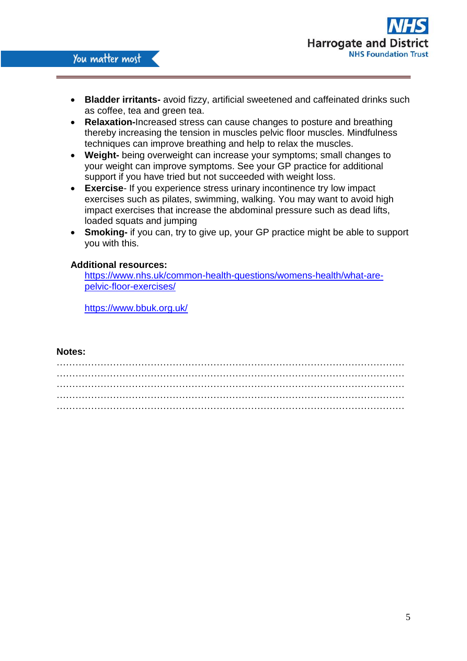

- **Bladder irritants-** avoid fizzy, artificial sweetened and caffeinated drinks such as coffee, tea and green tea.
- **Relaxation-**Increased stress can cause changes to posture and breathing thereby increasing the tension in muscles pelvic floor muscles. Mindfulness techniques can improve breathing and help to relax the muscles.
- **Weight-** being overweight can increase your symptoms; small changes to your weight can improve symptoms. See your GP practice for additional support if you have tried but not succeeded with weight loss.
- **Exercise** If you experience stress urinary incontinence try low impact exercises such as pilates, swimming, walking. You may want to avoid high impact exercises that increase the abdominal pressure such as dead lifts, loaded squats and jumping
- **Smoking-** if you can, try to give up, your GP practice might be able to support you with this.

## **Additional resources:**

[https://www.nhs.uk/common-health-questions/womens-health/what-are](https://www.nhs.uk/common-health-questions/womens-health/what-are-pelvic-floor-exercises/)[pelvic-floor-exercises/](https://www.nhs.uk/common-health-questions/womens-health/what-are-pelvic-floor-exercises/)

[https://www.bbuk.org.uk/](http://www.bladderandbowelfoundation.org/)

## **Notes:**